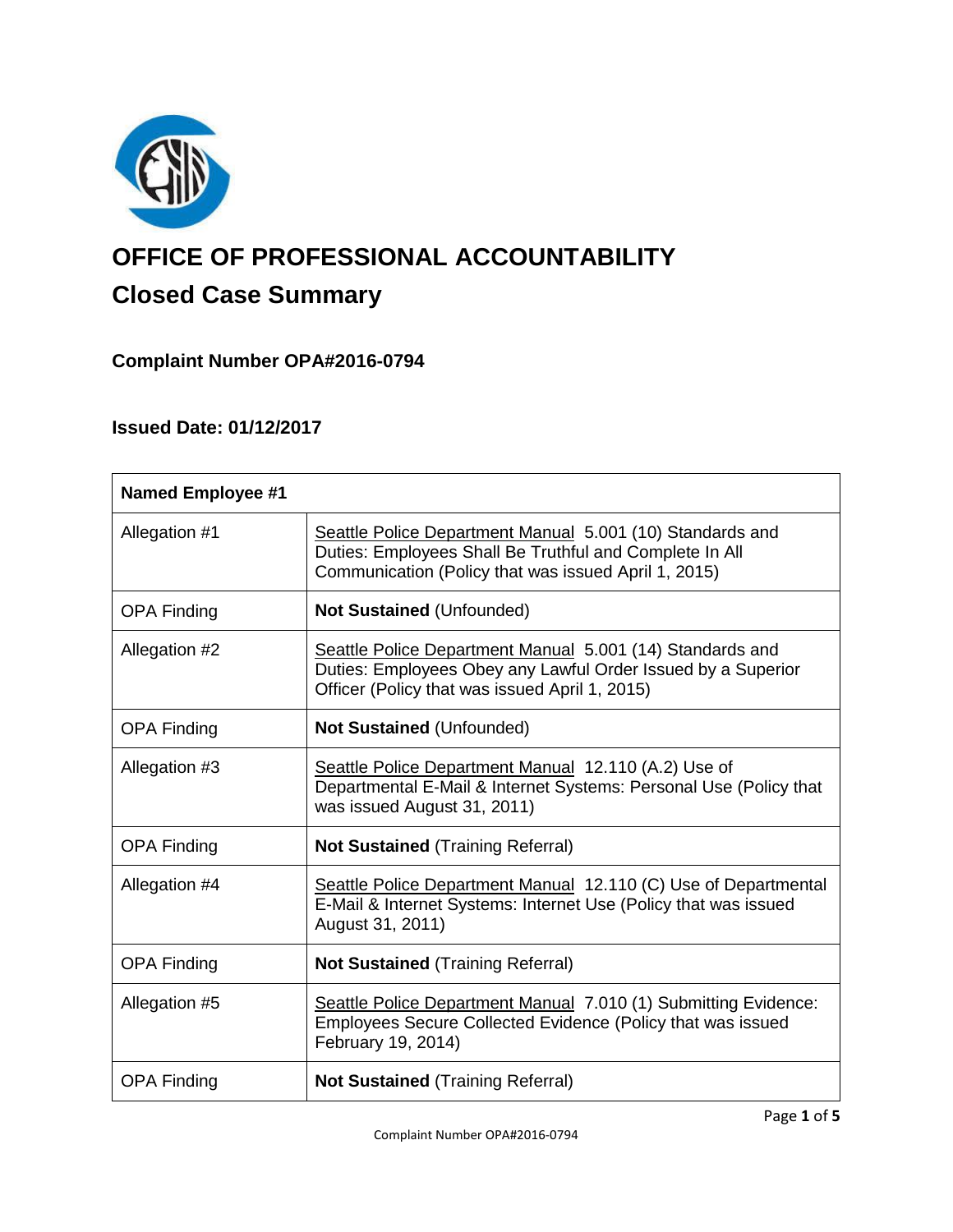

# **OFFICE OF PROFESSIONAL ACCOUNTABILITY Closed Case Summary**

## **Complaint Number OPA#2016-0794**

## **Issued Date: 01/12/2017**

| <b>Named Employee #1</b> |                                                                                                                                                                              |
|--------------------------|------------------------------------------------------------------------------------------------------------------------------------------------------------------------------|
| Allegation #1            | Seattle Police Department Manual 5.001 (10) Standards and<br>Duties: Employees Shall Be Truthful and Complete In All<br>Communication (Policy that was issued April 1, 2015) |
| <b>OPA Finding</b>       | <b>Not Sustained (Unfounded)</b>                                                                                                                                             |
| Allegation #2            | Seattle Police Department Manual 5.001 (14) Standards and<br>Duties: Employees Obey any Lawful Order Issued by a Superior<br>Officer (Policy that was issued April 1, 2015)  |
| <b>OPA Finding</b>       | <b>Not Sustained (Unfounded)</b>                                                                                                                                             |
| Allegation #3            | Seattle Police Department Manual 12.110 (A.2) Use of<br>Departmental E-Mail & Internet Systems: Personal Use (Policy that<br>was issued August 31, 2011)                     |
| <b>OPA Finding</b>       | <b>Not Sustained (Training Referral)</b>                                                                                                                                     |
| Allegation #4            | Seattle Police Department Manual 12.110 (C) Use of Departmental<br>E-Mail & Internet Systems: Internet Use (Policy that was issued<br>August 31, 2011)                       |
| <b>OPA Finding</b>       | <b>Not Sustained (Training Referral)</b>                                                                                                                                     |
| Allegation #5            | Seattle Police Department Manual 7.010 (1) Submitting Evidence:<br>Employees Secure Collected Evidence (Policy that was issued<br>February 19, 2014)                         |
| <b>OPA Finding</b>       | <b>Not Sustained (Training Referral)</b>                                                                                                                                     |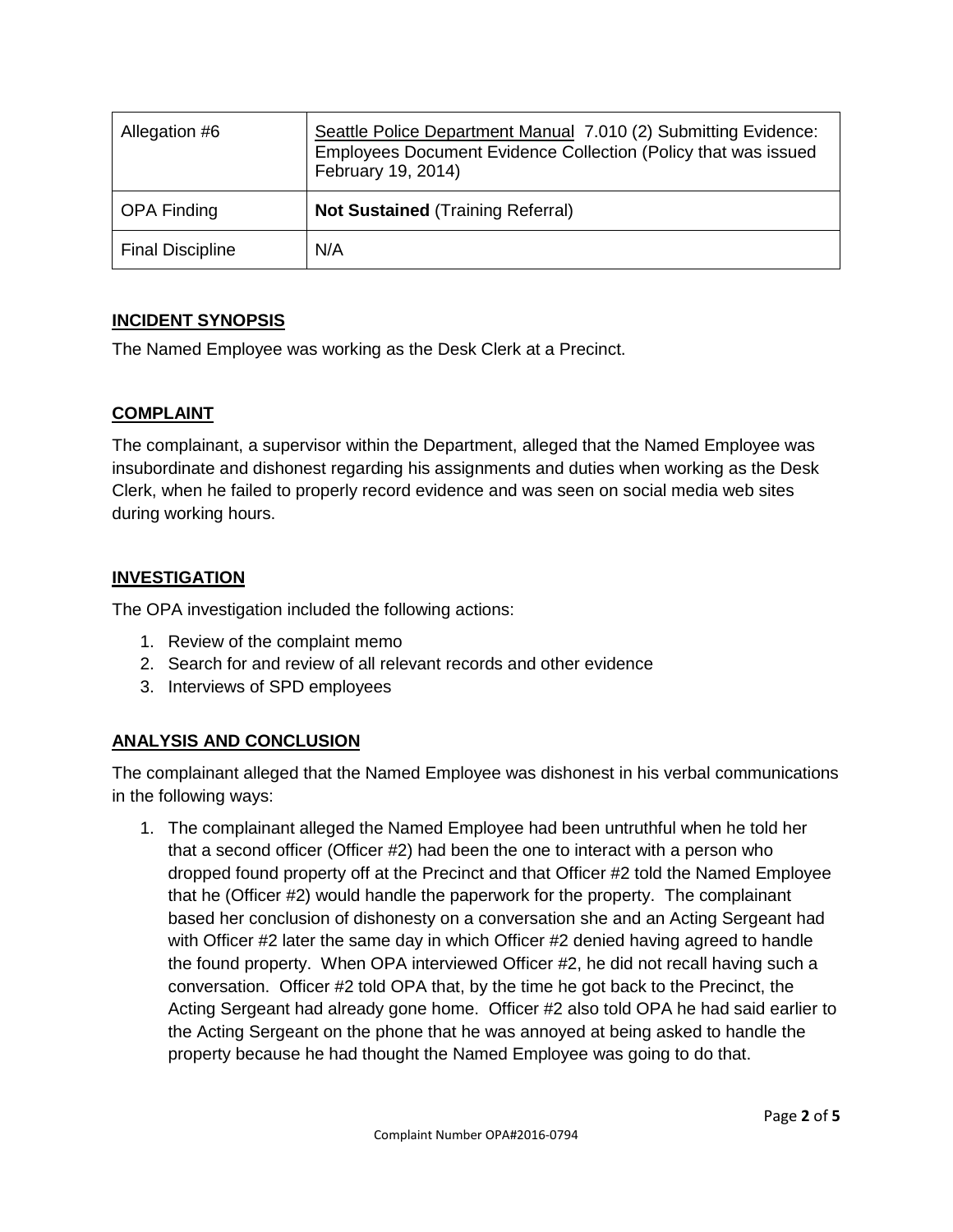| Allegation #6           | Seattle Police Department Manual 7.010 (2) Submitting Evidence:<br>Employees Document Evidence Collection (Policy that was issued<br>February 19, 2014) |
|-------------------------|---------------------------------------------------------------------------------------------------------------------------------------------------------|
| <b>OPA Finding</b>      | <b>Not Sustained (Training Referral)</b>                                                                                                                |
| <b>Final Discipline</b> | N/A                                                                                                                                                     |

#### **INCIDENT SYNOPSIS**

The Named Employee was working as the Desk Clerk at a Precinct.

#### **COMPLAINT**

The complainant, a supervisor within the Department, alleged that the Named Employee was insubordinate and dishonest regarding his assignments and duties when working as the Desk Clerk, when he failed to properly record evidence and was seen on social media web sites during working hours.

#### **INVESTIGATION**

The OPA investigation included the following actions:

- 1. Review of the complaint memo
- 2. Search for and review of all relevant records and other evidence
- 3. Interviews of SPD employees

#### **ANALYSIS AND CONCLUSION**

The complainant alleged that the Named Employee was dishonest in his verbal communications in the following ways:

1. The complainant alleged the Named Employee had been untruthful when he told her that a second officer (Officer #2) had been the one to interact with a person who dropped found property off at the Precinct and that Officer #2 told the Named Employee that he (Officer #2) would handle the paperwork for the property. The complainant based her conclusion of dishonesty on a conversation she and an Acting Sergeant had with Officer #2 later the same day in which Officer #2 denied having agreed to handle the found property. When OPA interviewed Officer #2, he did not recall having such a conversation. Officer #2 told OPA that, by the time he got back to the Precinct, the Acting Sergeant had already gone home. Officer #2 also told OPA he had said earlier to the Acting Sergeant on the phone that he was annoyed at being asked to handle the property because he had thought the Named Employee was going to do that.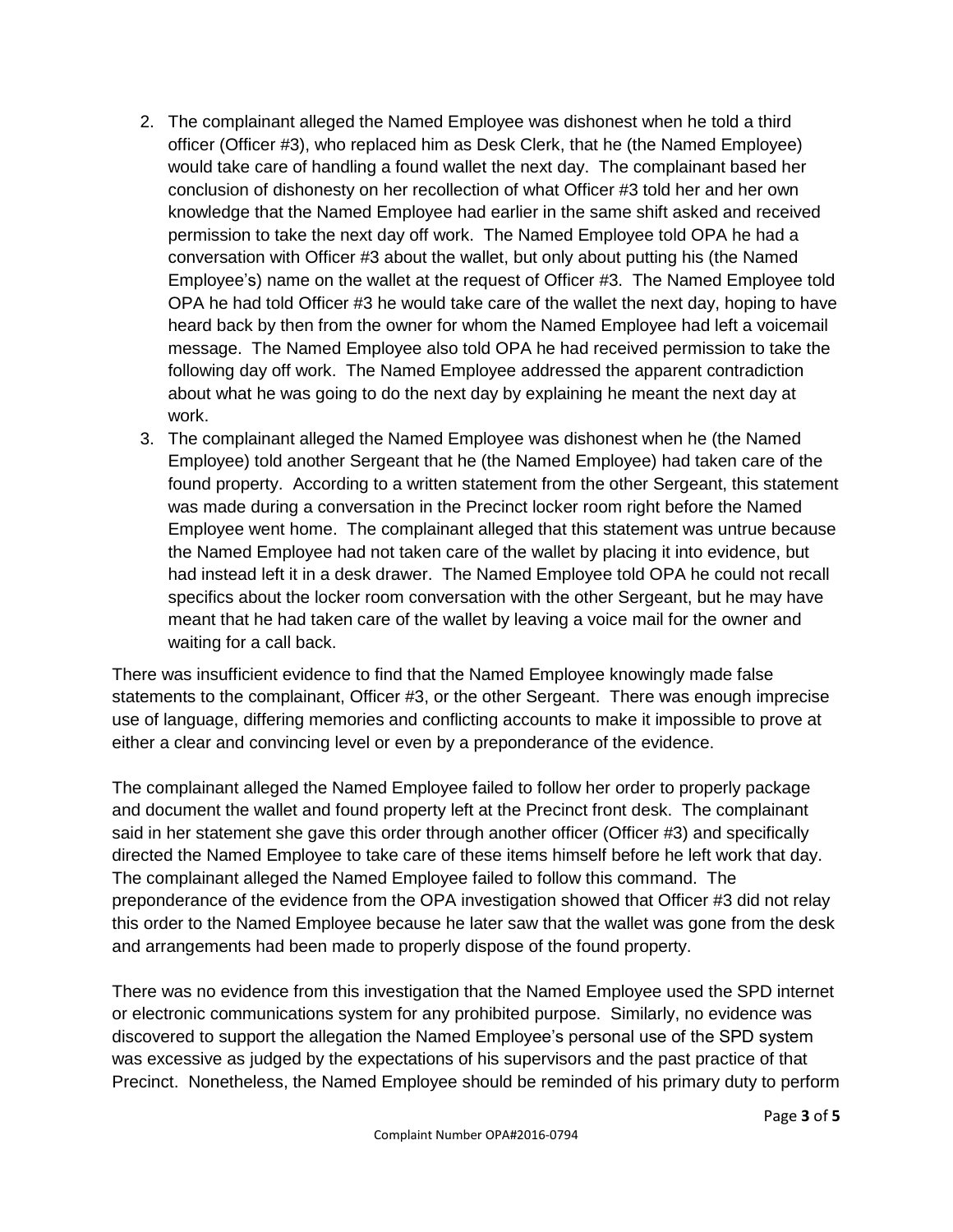- 2. The complainant alleged the Named Employee was dishonest when he told a third officer (Officer #3), who replaced him as Desk Clerk, that he (the Named Employee) would take care of handling a found wallet the next day. The complainant based her conclusion of dishonesty on her recollection of what Officer #3 told her and her own knowledge that the Named Employee had earlier in the same shift asked and received permission to take the next day off work. The Named Employee told OPA he had a conversation with Officer #3 about the wallet, but only about putting his (the Named Employee's) name on the wallet at the request of Officer #3. The Named Employee told OPA he had told Officer #3 he would take care of the wallet the next day, hoping to have heard back by then from the owner for whom the Named Employee had left a voicemail message. The Named Employee also told OPA he had received permission to take the following day off work. The Named Employee addressed the apparent contradiction about what he was going to do the next day by explaining he meant the next day at work.
- 3. The complainant alleged the Named Employee was dishonest when he (the Named Employee) told another Sergeant that he (the Named Employee) had taken care of the found property. According to a written statement from the other Sergeant, this statement was made during a conversation in the Precinct locker room right before the Named Employee went home. The complainant alleged that this statement was untrue because the Named Employee had not taken care of the wallet by placing it into evidence, but had instead left it in a desk drawer. The Named Employee told OPA he could not recall specifics about the locker room conversation with the other Sergeant, but he may have meant that he had taken care of the wallet by leaving a voice mail for the owner and waiting for a call back.

There was insufficient evidence to find that the Named Employee knowingly made false statements to the complainant, Officer #3, or the other Sergeant. There was enough imprecise use of language, differing memories and conflicting accounts to make it impossible to prove at either a clear and convincing level or even by a preponderance of the evidence.

The complainant alleged the Named Employee failed to follow her order to properly package and document the wallet and found property left at the Precinct front desk. The complainant said in her statement she gave this order through another officer (Officer #3) and specifically directed the Named Employee to take care of these items himself before he left work that day. The complainant alleged the Named Employee failed to follow this command. The preponderance of the evidence from the OPA investigation showed that Officer #3 did not relay this order to the Named Employee because he later saw that the wallet was gone from the desk and arrangements had been made to properly dispose of the found property.

There was no evidence from this investigation that the Named Employee used the SPD internet or electronic communications system for any prohibited purpose. Similarly, no evidence was discovered to support the allegation the Named Employee's personal use of the SPD system was excessive as judged by the expectations of his supervisors and the past practice of that Precinct. Nonetheless, the Named Employee should be reminded of his primary duty to perform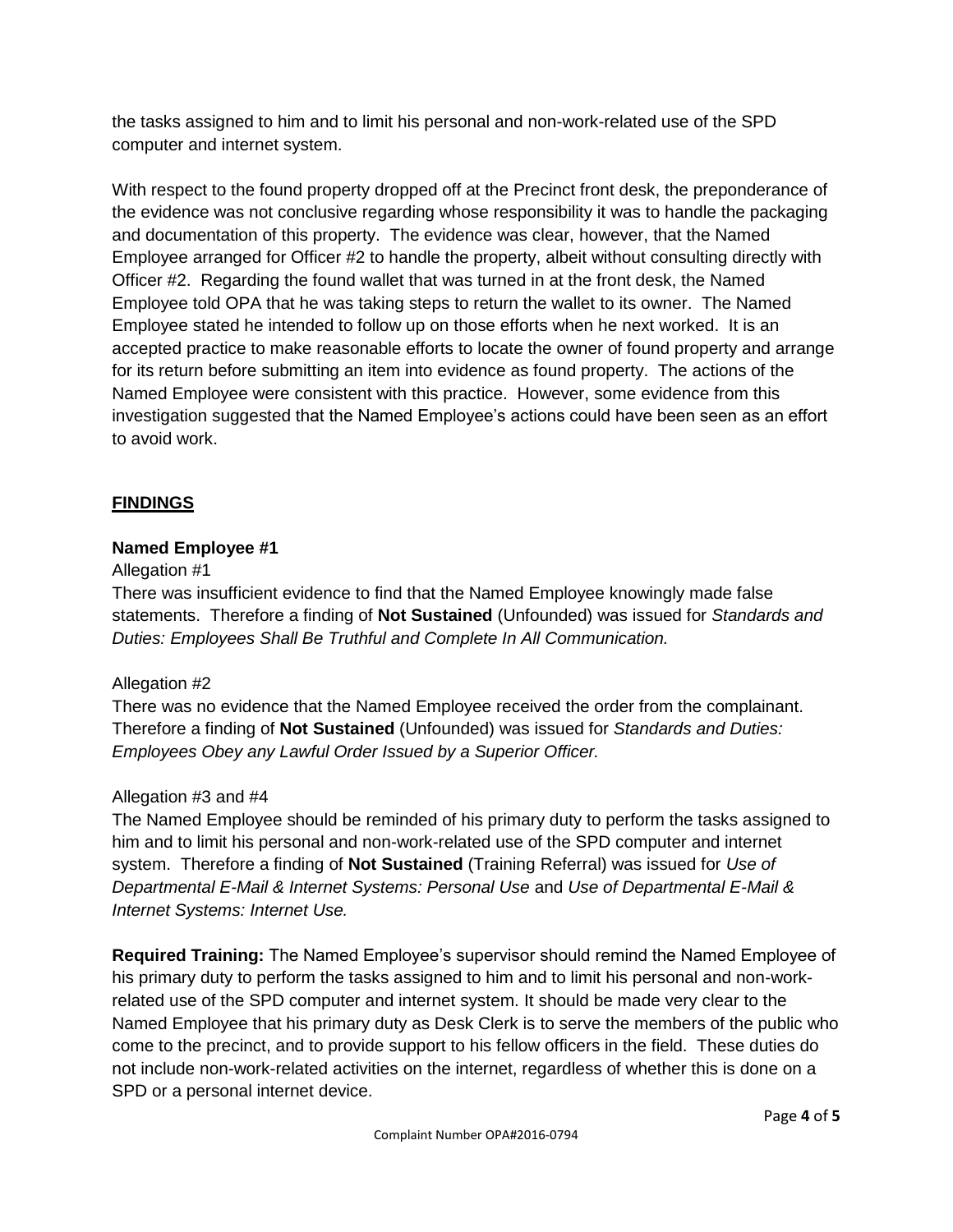the tasks assigned to him and to limit his personal and non-work-related use of the SPD computer and internet system.

With respect to the found property dropped off at the Precinct front desk, the preponderance of the evidence was not conclusive regarding whose responsibility it was to handle the packaging and documentation of this property. The evidence was clear, however, that the Named Employee arranged for Officer #2 to handle the property, albeit without consulting directly with Officer #2. Regarding the found wallet that was turned in at the front desk, the Named Employee told OPA that he was taking steps to return the wallet to its owner. The Named Employee stated he intended to follow up on those efforts when he next worked. It is an accepted practice to make reasonable efforts to locate the owner of found property and arrange for its return before submitting an item into evidence as found property. The actions of the Named Employee were consistent with this practice. However, some evidence from this investigation suggested that the Named Employee's actions could have been seen as an effort to avoid work.

## **FINDINGS**

### **Named Employee #1**

#### Allegation #1

There was insufficient evidence to find that the Named Employee knowingly made false statements. Therefore a finding of **Not Sustained** (Unfounded) was issued for *Standards and Duties: Employees Shall Be Truthful and Complete In All Communication.*

#### Allegation #2

There was no evidence that the Named Employee received the order from the complainant. Therefore a finding of **Not Sustained** (Unfounded) was issued for *Standards and Duties: Employees Obey any Lawful Order Issued by a Superior Officer.*

#### Allegation #3 and #4

The Named Employee should be reminded of his primary duty to perform the tasks assigned to him and to limit his personal and non-work-related use of the SPD computer and internet system. Therefore a finding of **Not Sustained** (Training Referral) was issued for *Use of Departmental E-Mail & Internet Systems: Personal Use* and *Use of Departmental E-Mail & Internet Systems: Internet Use.*

**Required Training:** The Named Employee's supervisor should remind the Named Employee of his primary duty to perform the tasks assigned to him and to limit his personal and non-workrelated use of the SPD computer and internet system. It should be made very clear to the Named Employee that his primary duty as Desk Clerk is to serve the members of the public who come to the precinct, and to provide support to his fellow officers in the field. These duties do not include non-work-related activities on the internet, regardless of whether this is done on a SPD or a personal internet device.